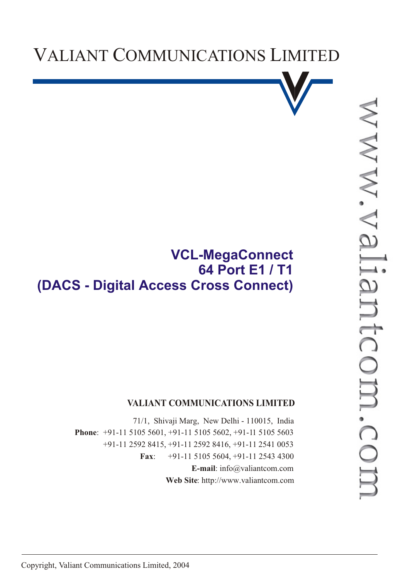



# **VCL-MegaConnect 64 Port E1 / T1 (DACS - Digital Access Cross Connect)**

#### **VALIANT COMMUNICATIONS LIMITED**

71/1, Shivaji Marg, New Delhi - 110015, India **Phone**: +91-11 5105 5601, +91-11 5105 5602, +91-11 5105 5603 +91-11 2592 8415, +91-11 2592 8416, +91-11 2541 0053 **Fax**: +91-11 5105 5604, +91-11 2543 4300 **E-mail**: info@valiantcom.com **Web Site**: http://www.valiantcom.com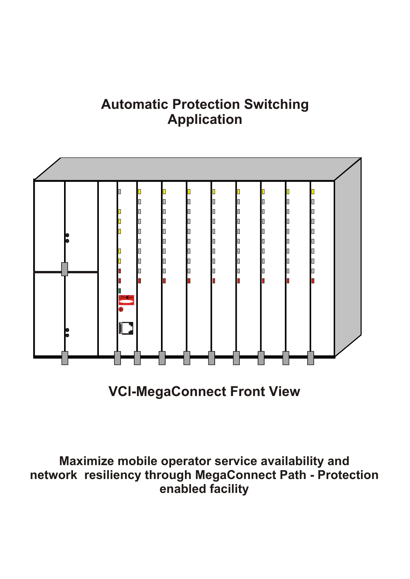# **Automatic Protection Switching Application**



**VCl-MegaConnect Front View**

**Maximize mobile operator service availability and network resiliency through MegaConnect Path - Protection enabled facility**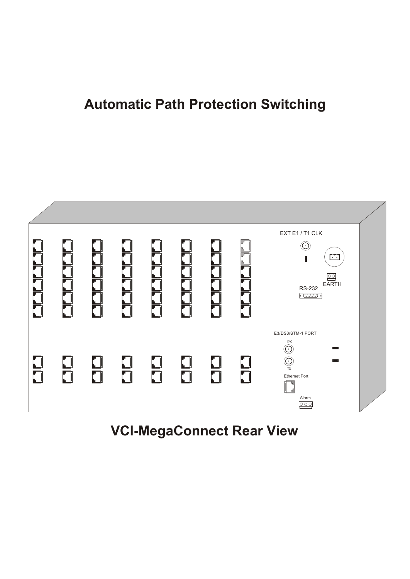# **Automatic Path Protection Switching**



**VCl-MegaConnect Rear View**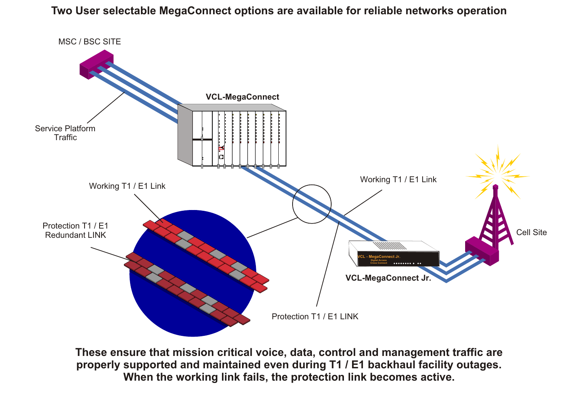**Two User selectable MegaConnect options are available for reliable networks operation**



**These ensure that mission critical voice, data, control and management traffic are properly supported and maintained even during T1 / E1 backhaul facility outages. When the working link fails, the protection link becomes active.**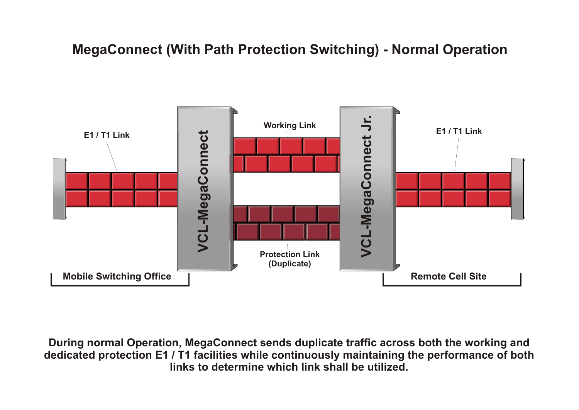### **MegaConnect (With Path Protection Switching) - Normal Operation**



**During normal Operation, MegaConnect sends duplicate traffic across both the working and dedicated protection E1 / T1 facilities while continuously maintaining the performance of both links to determine which link shall be utilized.**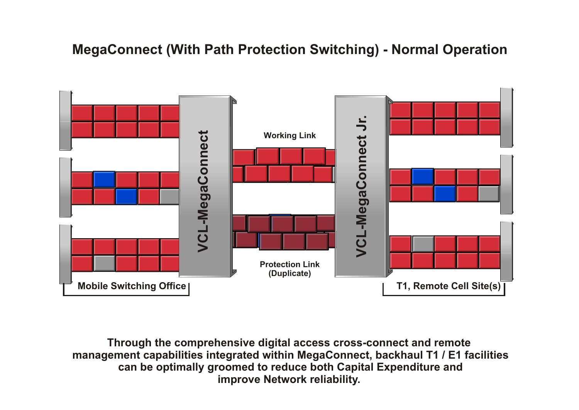### **MegaConnect (With Path Protection Switching) - Normal Operation**



**Through the comprehensive digital access cross-connect and remote management capabilities integrated within MegaConnect, backhaul T1 / E1 facilities can be optimally groomed to reduce both Capital Expenditure and improve Network reliability.**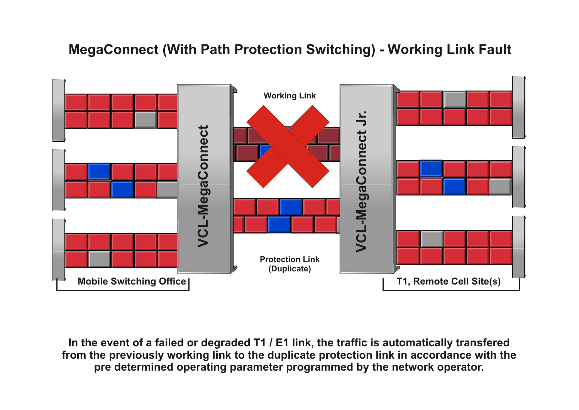#### **MegaConnect (With Path Protection Switching) - Working Link Fault**



**In the event of a failed or degraded T1 / E1 link, the traffic is automatically transfered from the previously working link to the duplicate protection link in accordance with the pre determined operating parameter programmed by the network operator.**